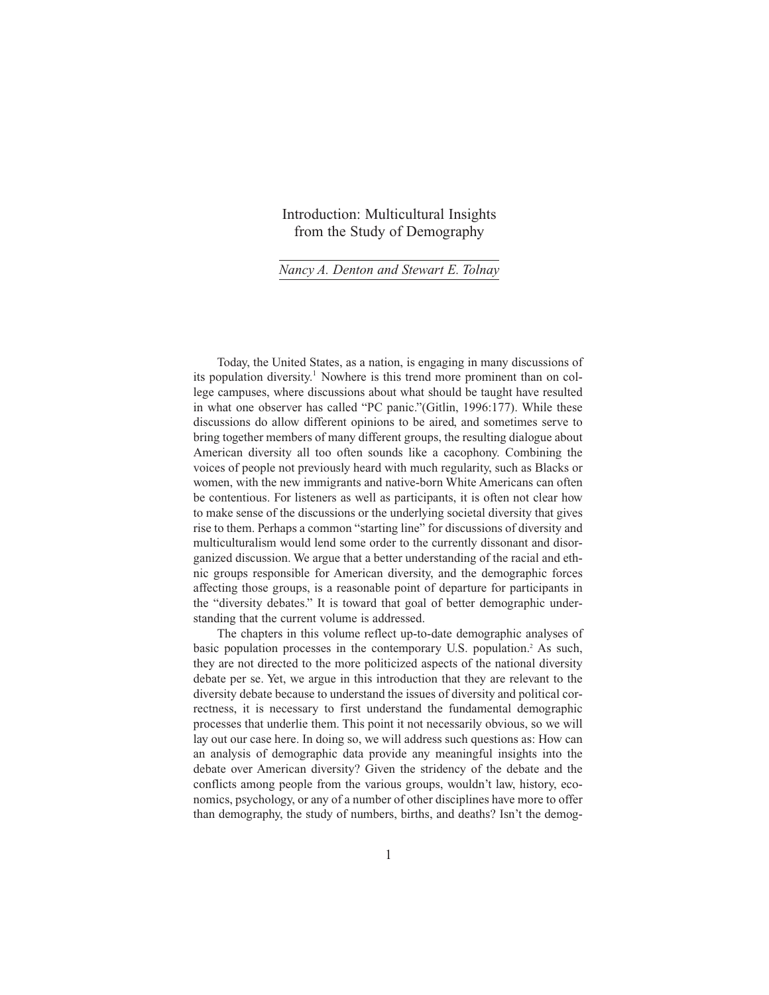# Introduction: Multicultural Insights from the Study of Demography

## *Nancy A. Denton and Stewart E. Tolnay*

Today, the United States, as a nation, is engaging in many discussions of its population diversity.<sup>1</sup> Nowhere is this trend more prominent than on college campuses, where discussions about what should be taught have resulted in what one observer has called "PC panic."(Gitlin, 1996:177). While these discussions do allow different opinions to be aired, and sometimes serve to bring together members of many different groups, the resulting dialogue about American diversity all too often sounds like a cacophony. Combining the voices of people not previously heard with much regularity, such as Blacks or women, with the new immigrants and native-born White Americans can often be contentious. For listeners as well as participants, it is often not clear how to make sense of the discussions or the underlying societal diversity that gives rise to them. Perhaps a common "starting line" for discussions of diversity and multiculturalism would lend some order to the currently dissonant and disorganized discussion. We argue that a better understanding of the racial and ethnic groups responsible for American diversity, and the demographic forces affecting those groups, is a reasonable point of departure for participants in the "diversity debates." It is toward that goal of better demographic understanding that the current volume is addressed.

The chapters in this volume reflect up-to-date demographic analyses of basic population processes in the contemporary U.S. population.<sup>2</sup> As such, they are not directed to the more politicized aspects of the national diversity debate per se. Yet, we argue in this introduction that they are relevant to the diversity debate because to understand the issues of diversity and political correctness, it is necessary to first understand the fundamental demographic processes that underlie them. This point it not necessarily obvious, so we will lay out our case here. In doing so, we will address such questions as: How can an analysis of demographic data provide any meaningful insights into the debate over American diversity? Given the stridency of the debate and the conflicts among people from the various groups, wouldn't law, history, economics, psychology, or any of a number of other disciplines have more to offer than demography, the study of numbers, births, and deaths? Isn't the demog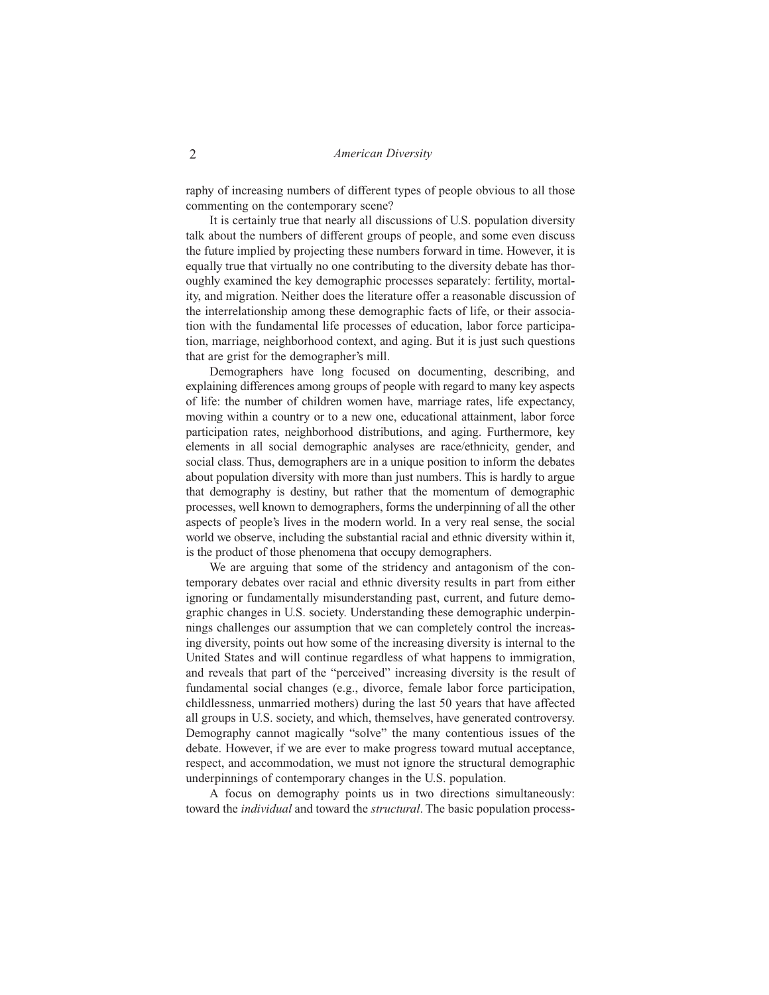raphy of increasing numbers of different types of people obvious to all those commenting on the contemporary scene?

It is certainly true that nearly all discussions of U.S. population diversity talk about the numbers of different groups of people, and some even discuss the future implied by projecting these numbers forward in time. However, it is equally true that virtually no one contributing to the diversity debate has thoroughly examined the key demographic processes separately: fertility, mortality, and migration. Neither does the literature offer a reasonable discussion of the interrelationship among these demographic facts of life, or their association with the fundamental life processes of education, labor force participation, marriage, neighborhood context, and aging. But it is just such questions that are grist for the demographer's mill.

Demographers have long focused on documenting, describing, and explaining differences among groups of people with regard to many key aspects of life: the number of children women have, marriage rates, life expectancy, moving within a country or to a new one, educational attainment, labor force participation rates, neighborhood distributions, and aging. Furthermore, key elements in all social demographic analyses are race/ethnicity, gender, and social class. Thus, demographers are in a unique position to inform the debates about population diversity with more than just numbers. This is hardly to argue that demography is destiny, but rather that the momentum of demographic processes, well known to demographers, forms the underpinning of all the other aspects of people's lives in the modern world. In a very real sense, the social world we observe, including the substantial racial and ethnic diversity within it, is the product of those phenomena that occupy demographers.

We are arguing that some of the stridency and antagonism of the contemporary debates over racial and ethnic diversity results in part from either ignoring or fundamentally misunderstanding past, current, and future demographic changes in U.S. society. Understanding these demographic underpinnings challenges our assumption that we can completely control the increasing diversity, points out how some of the increasing diversity is internal to the United States and will continue regardless of what happens to immigration, and reveals that part of the "perceived" increasing diversity is the result of fundamental social changes (e.g., divorce, female labor force participation, childlessness, unmarried mothers) during the last 50 years that have affected all groups in U.S. society, and which, themselves, have generated controversy. Demography cannot magically "solve" the many contentious issues of the debate. However, if we are ever to make progress toward mutual acceptance, respect, and accommodation, we must not ignore the structural demographic underpinnings of contemporary changes in the U.S. population.

A focus on demography points us in two directions simultaneously: toward the *individual* and toward the *structural*. The basic population process-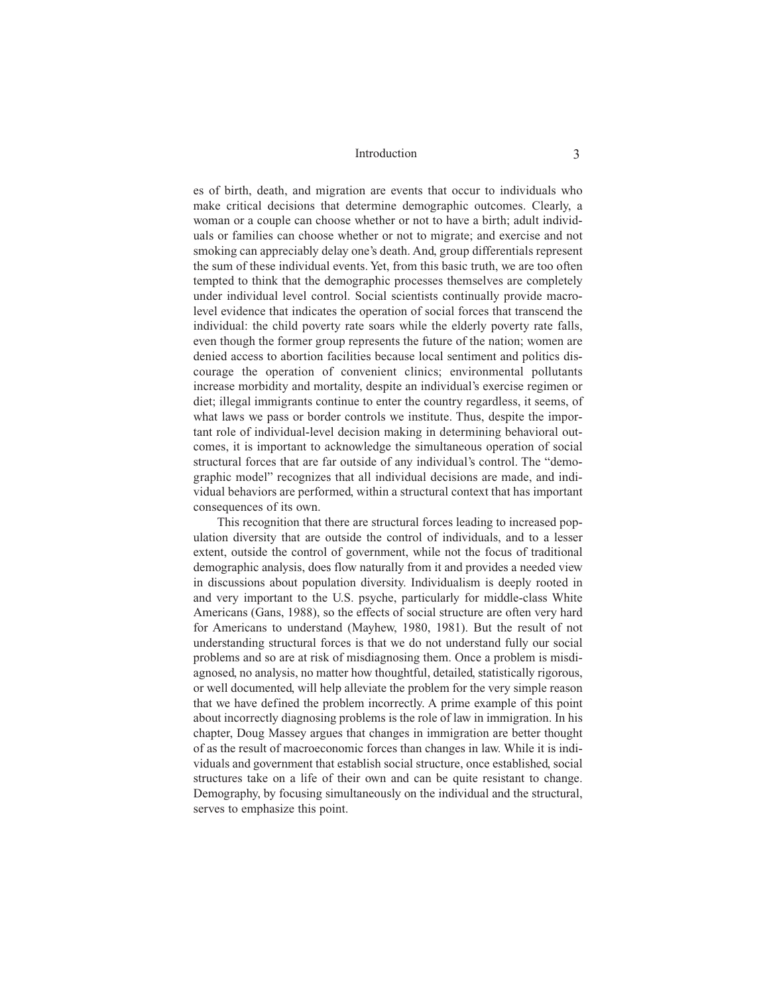es of birth, death, and migration are events that occur to individuals who make critical decisions that determine demographic outcomes. Clearly, a woman or a couple can choose whether or not to have a birth; adult individuals or families can choose whether or not to migrate; and exercise and not smoking can appreciably delay one's death. And, group differentials represent the sum of these individual events. Yet, from this basic truth, we are too often tempted to think that the demographic processes themselves are completely under individual level control. Social scientists continually provide macrolevel evidence that indicates the operation of social forces that transcend the individual: the child poverty rate soars while the elderly poverty rate falls, even though the former group represents the future of the nation; women are denied access to abortion facilities because local sentiment and politics discourage the operation of convenient clinics; environmental pollutants increase morbidity and mortality, despite an individual's exercise regimen or diet; illegal immigrants continue to enter the country regardless, it seems, of what laws we pass or border controls we institute. Thus, despite the important role of individual-level decision making in determining behavioral outcomes, it is important to acknowledge the simultaneous operation of social structural forces that are far outside of any individual's control. The "demographic model" recognizes that all individual decisions are made, and individual behaviors are performed, within a structural context that has important consequences of its own.

This recognition that there are structural forces leading to increased population diversity that are outside the control of individuals, and to a lesser extent, outside the control of government, while not the focus of traditional demographic analysis, does flow naturally from it and provides a needed view in discussions about population diversity. Individualism is deeply rooted in and very important to the U.S. psyche, particularly for middle-class White Americans (Gans, 1988), so the effects of social structure are often very hard for Americans to understand (Mayhew, 1980, 1981). But the result of not understanding structural forces is that we do not understand fully our social problems and so are at risk of misdiagnosing them. Once a problem is misdiagnosed, no analysis, no matter how thoughtful, detailed, statistically rigorous, or well documented, will help alleviate the problem for the very simple reason that we have defined the problem incorrectly. A prime example of this point about incorrectly diagnosing problems is the role of law in immigration. In his chapter, Doug Massey argues that changes in immigration are better thought of as the result of macroeconomic forces than changes in law. While it is individuals and government that establish social structure, once established, social structures take on a life of their own and can be quite resistant to change. Demography, by focusing simultaneously on the individual and the structural, serves to emphasize this point.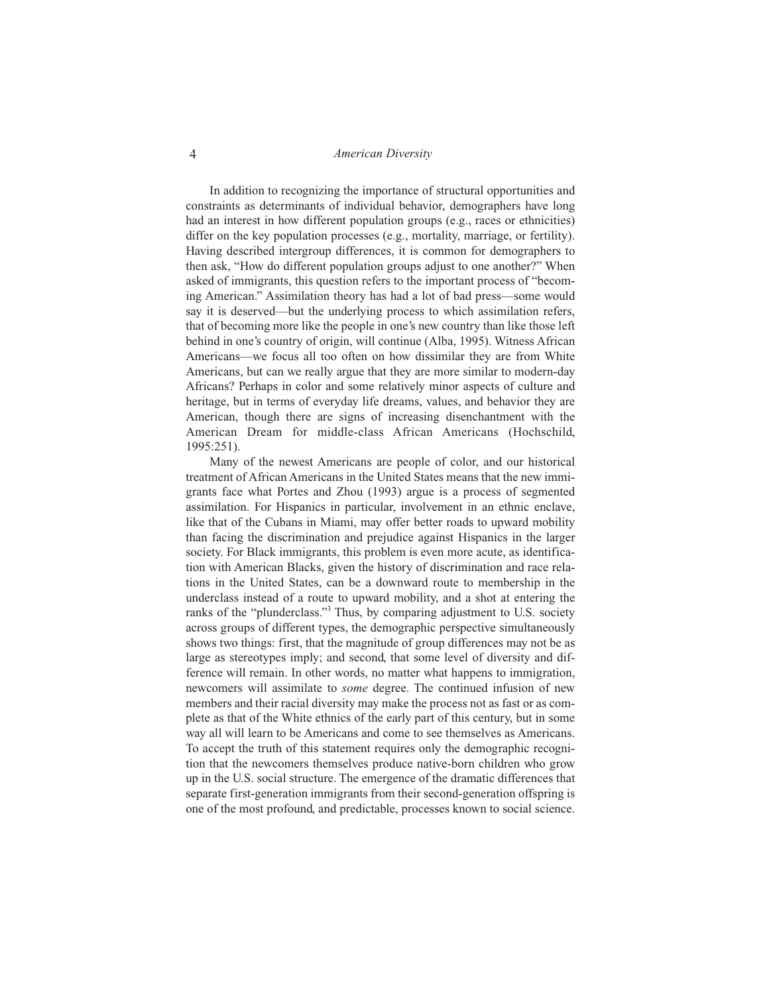In addition to recognizing the importance of structural opportunities and constraints as determinants of individual behavior, demographers have long had an interest in how different population groups (e.g., races or ethnicities) differ on the key population processes (e.g., mortality, marriage, or fertility). Having described intergroup differences, it is common for demographers to then ask, "How do different population groups adjust to one another?" When asked of immigrants, this question refers to the important process of "becoming American." Assimilation theory has had a lot of bad press—some would say it is deserved—but the underlying process to which assimilation refers, that of becoming more like the people in one's new country than like those left behind in one's country of origin, will continue (Alba, 1995). Witness African Americans—we focus all too often on how dissimilar they are from White Americans, but can we really argue that they are more similar to modern-day Africans? Perhaps in color and some relatively minor aspects of culture and heritage, but in terms of everyday life dreams, values, and behavior they are American, though there are signs of increasing disenchantment with the American Dream for middle-class African Americans (Hochschild, 1995:251).

Many of the newest Americans are people of color, and our historical treatment of African Americans in the United States means that the new immigrants face what Portes and Zhou (1993) argue is a process of segmented assimilation. For Hispanics in particular, involvement in an ethnic enclave, like that of the Cubans in Miami, may offer better roads to upward mobility than facing the discrimination and prejudice against Hispanics in the larger society. For Black immigrants, this problem is even more acute, as identification with American Blacks, given the history of discrimination and race relations in the United States, can be a downward route to membership in the underclass instead of a route to upward mobility, and a shot at entering the ranks of the "plunderclass."<sup>3</sup> Thus, by comparing adjustment to U.S. society across groups of different types, the demographic perspective simultaneously shows two things: first, that the magnitude of group differences may not be as large as stereotypes imply; and second, that some level of diversity and difference will remain. In other words, no matter what happens to immigration, newcomers will assimilate to *some* degree. The continued infusion of new members and their racial diversity may make the process not as fast or as complete as that of the White ethnics of the early part of this century, but in some way all will learn to be Americans and come to see themselves as Americans. To accept the truth of this statement requires only the demographic recognition that the newcomers themselves produce native-born children who grow up in the U.S. social structure. The emergence of the dramatic differences that separate first-generation immigrants from their second-generation offspring is one of the most profound, and predictable, processes known to social science.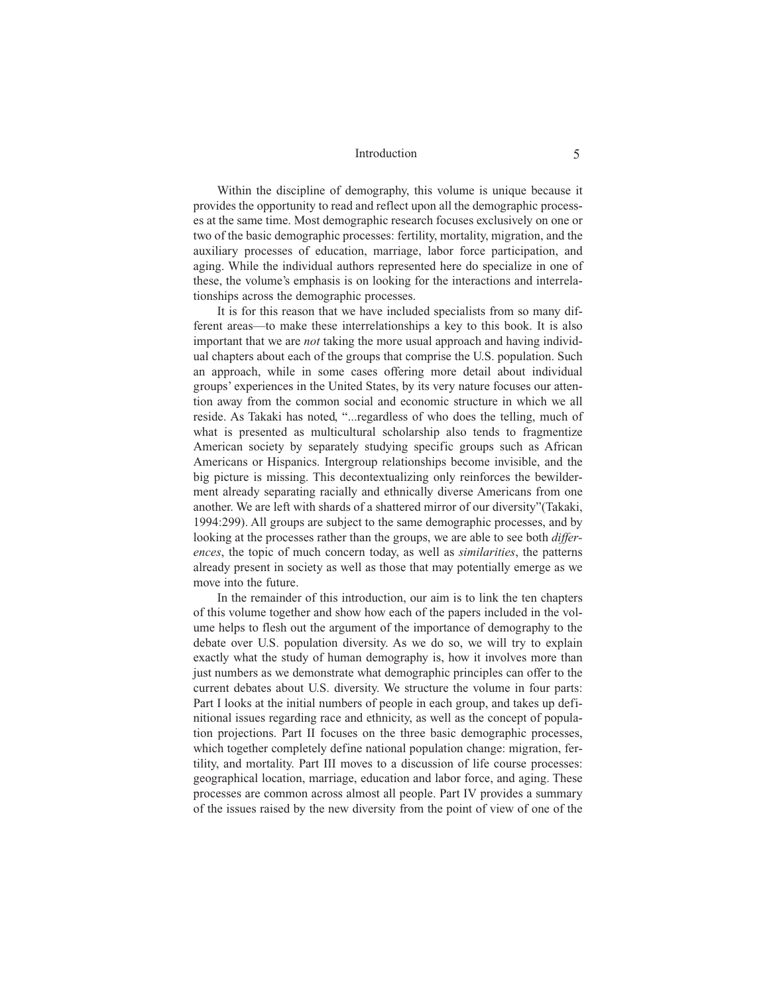Within the discipline of demography, this volume is unique because it provides the opportunity to read and reflect upon all the demographic processes at the same time. Most demographic research focuses exclusively on one or two of the basic demographic processes: fertility, mortality, migration, and the auxiliary processes of education, marriage, labor force participation, and aging. While the individual authors represented here do specialize in one of these, the volume's emphasis is on looking for the interactions and interrelationships across the demographic processes.

It is for this reason that we have included specialists from so many different areas—to make these interrelationships a key to this book. It is also important that we are *not* taking the more usual approach and having individual chapters about each of the groups that comprise the U.S. population. Such an approach, while in some cases offering more detail about individual groups' experiences in the United States, by its very nature focuses our attention away from the common social and economic structure in which we all reside. As Takaki has noted, "...regardless of who does the telling, much of what is presented as multicultural scholarship also tends to fragmentize American society by separately studying specific groups such as African Americans or Hispanics. Intergroup relationships become invisible, and the big picture is missing. This decontextualizing only reinforces the bewilderment already separating racially and ethnically diverse Americans from one another. We are left with shards of a shattered mirror of our diversity"(Takaki, 1994:299). All groups are subject to the same demographic processes, and by looking at the processes rather than the groups, we are able to see both *differences*, the topic of much concern today, as well as *similarities*, the patterns already present in society as well as those that may potentially emerge as we move into the future.

In the remainder of this introduction, our aim is to link the ten chapters of this volume together and show how each of the papers included in the volume helps to flesh out the argument of the importance of demography to the debate over U.S. population diversity. As we do so, we will try to explain exactly what the study of human demography is, how it involves more than just numbers as we demonstrate what demographic principles can offer to the current debates about U.S. diversity. We structure the volume in four parts: Part I looks at the initial numbers of people in each group, and takes up definitional issues regarding race and ethnicity, as well as the concept of population projections. Part II focuses on the three basic demographic processes, which together completely define national population change: migration, fertility, and mortality. Part III moves to a discussion of life course processes: geographical location, marriage, education and labor force, and aging. These processes are common across almost all people. Part IV provides a summary of the issues raised by the new diversity from the point of view of one of the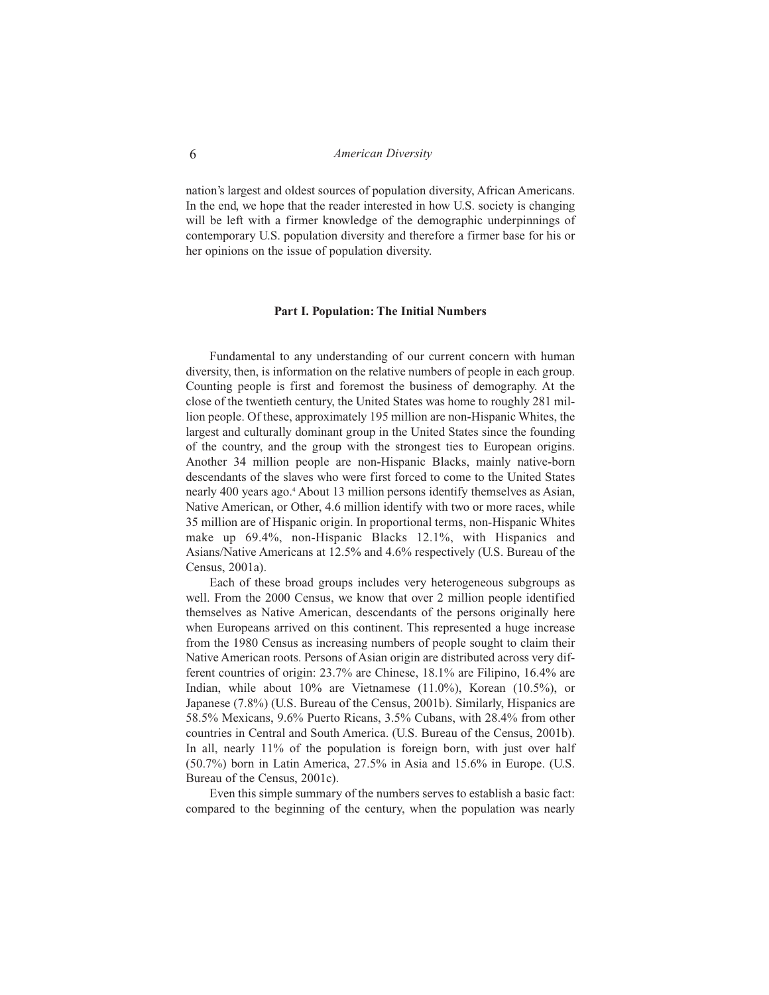nation's largest and oldest sources of population diversity, African Americans. In the end, we hope that the reader interested in how U.S. society is changing will be left with a firmer knowledge of the demographic underpinnings of contemporary U.S. population diversity and therefore a firmer base for his or her opinions on the issue of population diversity.

## **Part I. Population: The Initial Numbers**

Fundamental to any understanding of our current concern with human diversity, then, is information on the relative numbers of people in each group. Counting people is first and foremost the business of demography. At the close of the twentieth century, the United States was home to roughly 281 million people. Of these, approximately 195 million are non-Hispanic Whites, the largest and culturally dominant group in the United States since the founding of the country, and the group with the strongest ties to European origins. Another 34 million people are non-Hispanic Blacks, mainly native-born descendants of the slaves who were first forced to come to the United States nearly 400 years ago.4 About 13 million persons identify themselves as Asian, Native American, or Other, 4.6 million identify with two or more races, while 35 million are of Hispanic origin. In proportional terms, non-Hispanic Whites make up 69.4%, non-Hispanic Blacks 12.1%, with Hispanics and Asians/Native Americans at 12.5% and 4.6% respectively (U.S. Bureau of the Census, 2001a).

Each of these broad groups includes very heterogeneous subgroups as well. From the 2000 Census, we know that over 2 million people identified themselves as Native American, descendants of the persons originally here when Europeans arrived on this continent. This represented a huge increase from the 1980 Census as increasing numbers of people sought to claim their Native American roots. Persons of Asian origin are distributed across very different countries of origin: 23.7% are Chinese, 18.1% are Filipino, 16.4% are Indian, while about 10% are Vietnamese (11.0%), Korean (10.5%), or Japanese (7.8%) (U.S. Bureau of the Census, 2001b). Similarly, Hispanics are 58.5% Mexicans, 9.6% Puerto Ricans, 3.5% Cubans, with 28.4% from other countries in Central and South America. (U.S. Bureau of the Census, 2001b). In all, nearly 11% of the population is foreign born, with just over half (50.7%) born in Latin America, 27.5% in Asia and 15.6% in Europe. (U.S. Bureau of the Census, 2001c).

Even this simple summary of the numbers serves to establish a basic fact: compared to the beginning of the century, when the population was nearly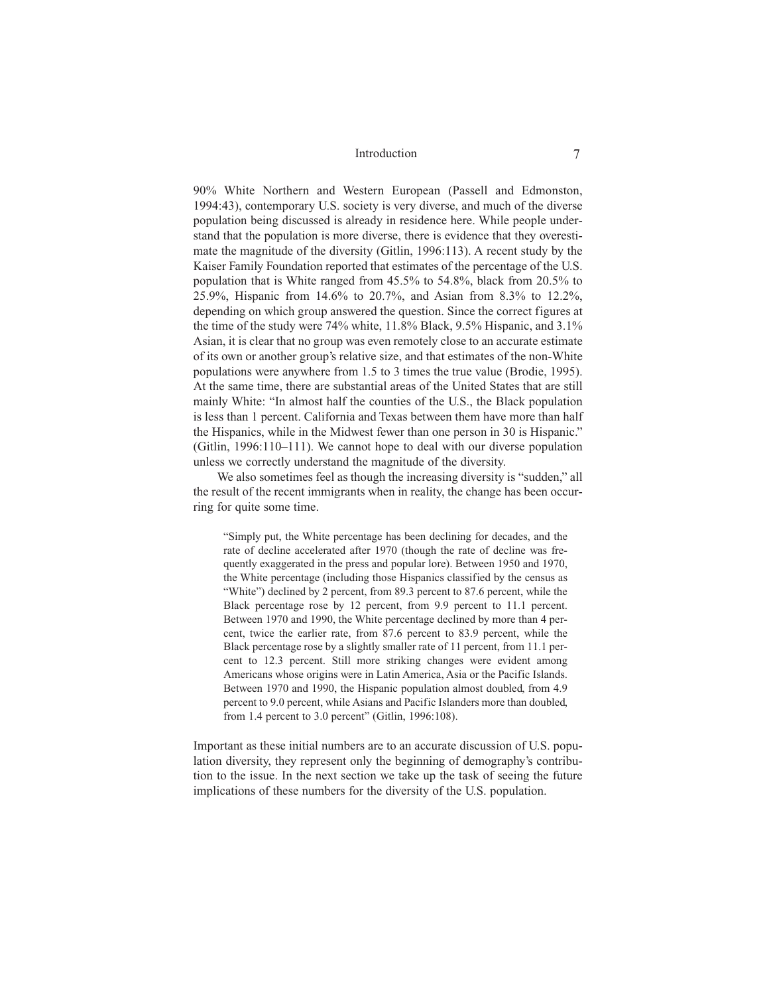90% White Northern and Western European (Passell and Edmonston, 1994:43), contemporary U.S. society is very diverse, and much of the diverse population being discussed is already in residence here. While people understand that the population is more diverse, there is evidence that they overestimate the magnitude of the diversity (Gitlin, 1996:113). A recent study by the Kaiser Family Foundation reported that estimates of the percentage of the U.S. population that is White ranged from 45.5% to 54.8%, black from 20.5% to 25.9%, Hispanic from 14.6% to 20.7%, and Asian from 8.3% to 12.2%, depending on which group answered the question. Since the correct figures at the time of the study were 74% white, 11.8% Black, 9.5% Hispanic, and 3.1% Asian, it is clear that no group was even remotely close to an accurate estimate of its own or another group's relative size, and that estimates of the non-White populations were anywhere from 1.5 to 3 times the true value (Brodie, 1995). At the same time, there are substantial areas of the United States that are still mainly White: "In almost half the counties of the U.S., the Black population is less than 1 percent. California and Texas between them have more than half the Hispanics, while in the Midwest fewer than one person in 30 is Hispanic." (Gitlin, 1996:110–111). We cannot hope to deal with our diverse population unless we correctly understand the magnitude of the diversity.

We also sometimes feel as though the increasing diversity is "sudden," all the result of the recent immigrants when in reality, the change has been occurring for quite some time.

"Simply put, the White percentage has been declining for decades, and the rate of decline accelerated after 1970 (though the rate of decline was frequently exaggerated in the press and popular lore). Between 1950 and 1970, the White percentage (including those Hispanics classified by the census as "White") declined by 2 percent, from 89.3 percent to 87.6 percent, while the Black percentage rose by 12 percent, from 9.9 percent to 11.1 percent. Between 1970 and 1990, the White percentage declined by more than 4 percent, twice the earlier rate, from 87.6 percent to 83.9 percent, while the Black percentage rose by a slightly smaller rate of 11 percent, from 11.1 percent to 12.3 percent. Still more striking changes were evident among Americans whose origins were in Latin America, Asia or the Pacific Islands. Between 1970 and 1990, the Hispanic population almost doubled, from 4.9 percent to 9.0 percent, while Asians and Pacific Islanders more than doubled, from 1.4 percent to 3.0 percent" (Gitlin, 1996:108).

Important as these initial numbers are to an accurate discussion of U.S. population diversity, they represent only the beginning of demography's contribution to the issue. In the next section we take up the task of seeing the future implications of these numbers for the diversity of the U.S. population.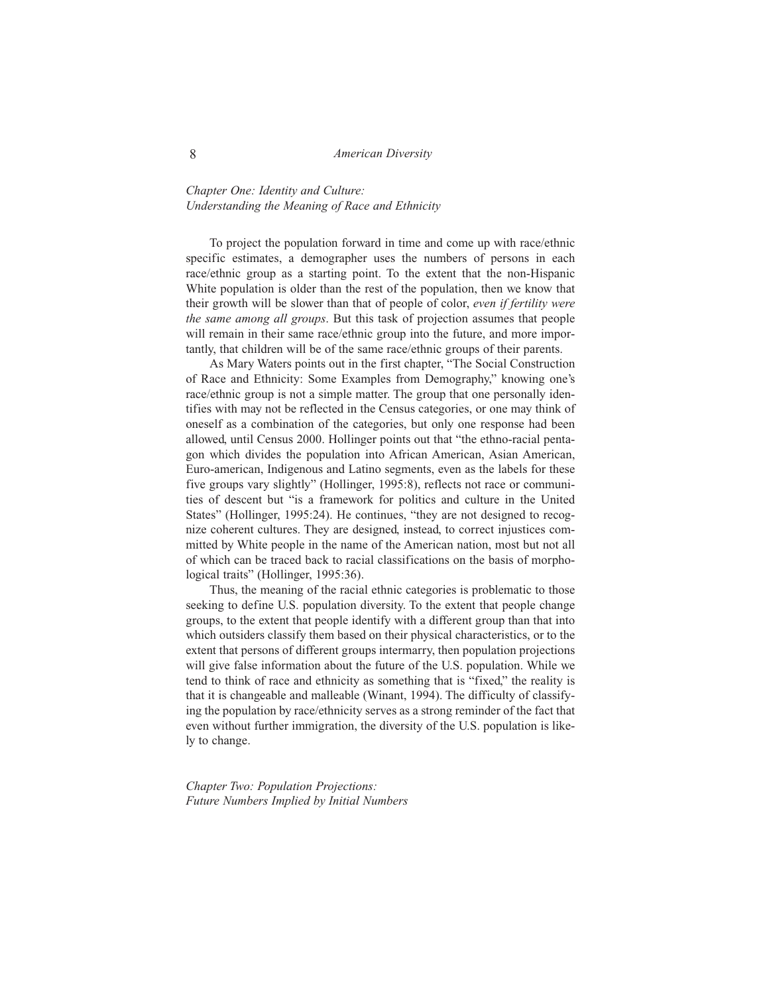*Chapter One: Identity and Culture: Understanding the Meaning of Race and Ethnicity*

To project the population forward in time and come up with race/ethnic specific estimates, a demographer uses the numbers of persons in each race/ethnic group as a starting point. To the extent that the non-Hispanic White population is older than the rest of the population, then we know that their growth will be slower than that of people of color, *even if fertility were the same among all groups*. But this task of projection assumes that people will remain in their same race/ethnic group into the future, and more importantly, that children will be of the same race/ethnic groups of their parents.

As Mary Waters points out in the first chapter, "The Social Construction of Race and Ethnicity: Some Examples from Demography," knowing one's race/ethnic group is not a simple matter. The group that one personally identifies with may not be reflected in the Census categories, or one may think of oneself as a combination of the categories, but only one response had been allowed, until Census 2000. Hollinger points out that "the ethno-racial pentagon which divides the population into African American, Asian American, Euro-american, Indigenous and Latino segments, even as the labels for these five groups vary slightly" (Hollinger, 1995:8), reflects not race or communities of descent but "is a framework for politics and culture in the United States" (Hollinger, 1995:24). He continues, "they are not designed to recognize coherent cultures. They are designed, instead, to correct injustices committed by White people in the name of the American nation, most but not all of which can be traced back to racial classifications on the basis of morphological traits" (Hollinger, 1995:36).

Thus, the meaning of the racial ethnic categories is problematic to those seeking to define U.S. population diversity. To the extent that people change groups, to the extent that people identify with a different group than that into which outsiders classify them based on their physical characteristics, or to the extent that persons of different groups intermarry, then population projections will give false information about the future of the U.S. population. While we tend to think of race and ethnicity as something that is "fixed," the reality is that it is changeable and malleable (Winant, 1994). The difficulty of classifying the population by race/ethnicity serves as a strong reminder of the fact that even without further immigration, the diversity of the U.S. population is likely to change.

*Chapter Two: Population Projections: Future Numbers Implied by Initial Numbers*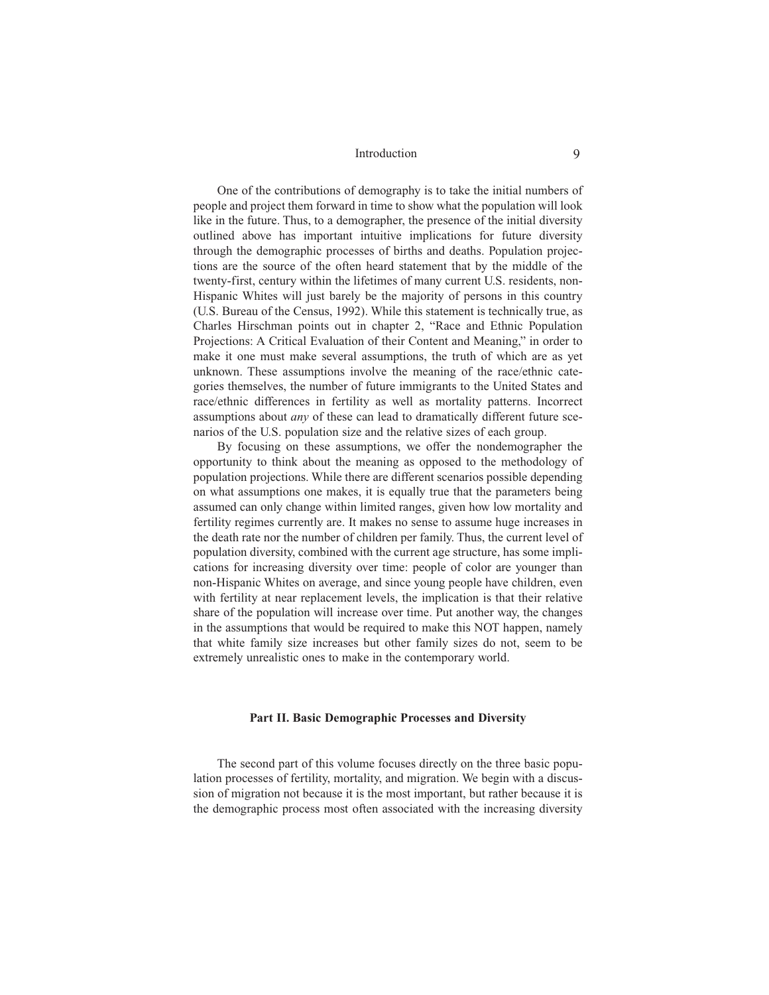One of the contributions of demography is to take the initial numbers of people and project them forward in time to show what the population will look like in the future. Thus, to a demographer, the presence of the initial diversity outlined above has important intuitive implications for future diversity through the demographic processes of births and deaths. Population projections are the source of the often heard statement that by the middle of the twenty-first, century within the lifetimes of many current U.S. residents, non-Hispanic Whites will just barely be the majority of persons in this country (U.S. Bureau of the Census, 1992). While this statement is technically true, as Charles Hirschman points out in chapter 2, "Race and Ethnic Population Projections: A Critical Evaluation of their Content and Meaning," in order to make it one must make several assumptions, the truth of which are as yet unknown. These assumptions involve the meaning of the race/ethnic categories themselves, the number of future immigrants to the United States and race/ethnic differences in fertility as well as mortality patterns. Incorrect assumptions about *any* of these can lead to dramatically different future scenarios of the U.S. population size and the relative sizes of each group.

By focusing on these assumptions, we offer the nondemographer the opportunity to think about the meaning as opposed to the methodology of population projections. While there are different scenarios possible depending on what assumptions one makes, it is equally true that the parameters being assumed can only change within limited ranges, given how low mortality and fertility regimes currently are. It makes no sense to assume huge increases in the death rate nor the number of children per family. Thus, the current level of population diversity, combined with the current age structure, has some implications for increasing diversity over time: people of color are younger than non-Hispanic Whites on average, and since young people have children, even with fertility at near replacement levels, the implication is that their relative share of the population will increase over time. Put another way, the changes in the assumptions that would be required to make this NOT happen, namely that white family size increases but other family sizes do not, seem to be extremely unrealistic ones to make in the contemporary world.

## **Part II. Basic Demographic Processes and Diversity**

The second part of this volume focuses directly on the three basic population processes of fertility, mortality, and migration. We begin with a discussion of migration not because it is the most important, but rather because it is the demographic process most often associated with the increasing diversity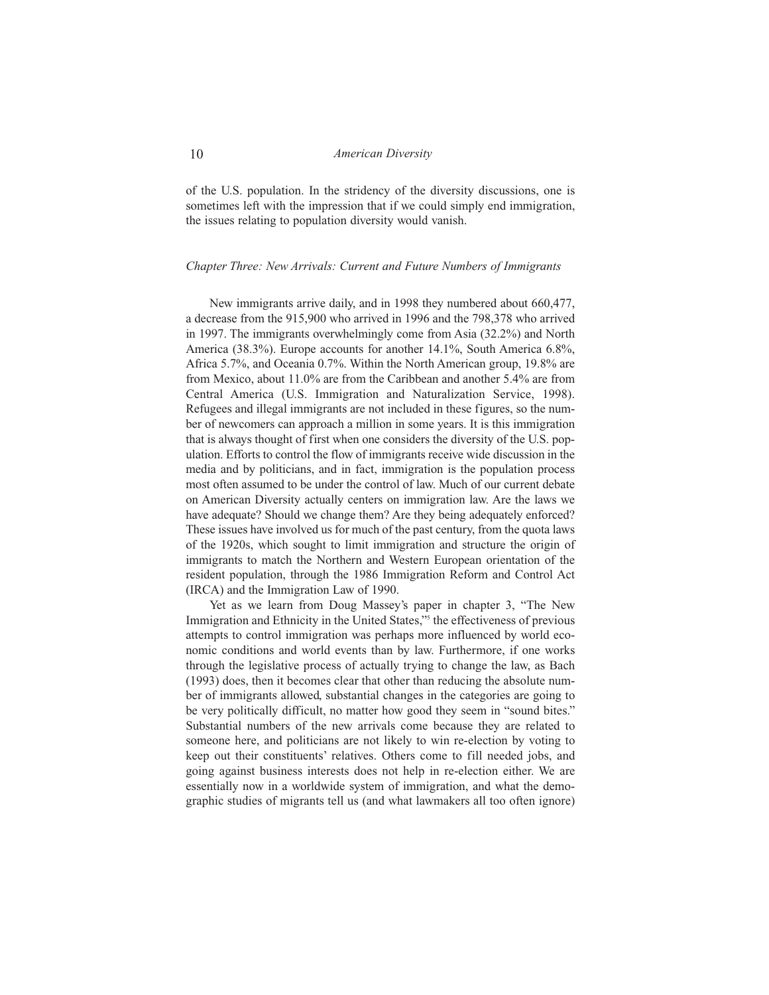of the U.S. population. In the stridency of the diversity discussions, one is sometimes left with the impression that if we could simply end immigration, the issues relating to population diversity would vanish.

## *Chapter Three: New Arrivals: Current and Future Numbers of Immigrants*

New immigrants arrive daily, and in 1998 they numbered about 660,477, a decrease from the 915,900 who arrived in 1996 and the 798,378 who arrived in 1997. The immigrants overwhelmingly come from Asia (32.2%) and North America (38.3%). Europe accounts for another 14.1%, South America 6.8%, Africa 5.7%, and Oceania 0.7%. Within the North American group, 19.8% are from Mexico, about 11.0% are from the Caribbean and another 5.4% are from Central America (U.S. Immigration and Naturalization Service, 1998). Refugees and illegal immigrants are not included in these figures, so the number of newcomers can approach a million in some years. It is this immigration that is always thought of first when one considers the diversity of the U.S. population. Efforts to control the flow of immigrants receive wide discussion in the media and by politicians, and in fact, immigration is the population process most often assumed to be under the control of law. Much of our current debate on American Diversity actually centers on immigration law. Are the laws we have adequate? Should we change them? Are they being adequately enforced? These issues have involved us for much of the past century, from the quota laws of the 1920s, which sought to limit immigration and structure the origin of immigrants to match the Northern and Western European orientation of the resident population, through the 1986 Immigration Reform and Control Act (IRCA) and the Immigration Law of 1990.

Yet as we learn from Doug Massey's paper in chapter 3, "The New Immigration and Ethnicity in the United States," the effectiveness of previous attempts to control immigration was perhaps more influenced by world economic conditions and world events than by law. Furthermore, if one works through the legislative process of actually trying to change the law, as Bach (1993) does, then it becomes clear that other than reducing the absolute number of immigrants allowed, substantial changes in the categories are going to be very politically difficult, no matter how good they seem in "sound bites." Substantial numbers of the new arrivals come because they are related to someone here, and politicians are not likely to win re-election by voting to keep out their constituents' relatives. Others come to fill needed jobs, and going against business interests does not help in re-election either. We are essentially now in a worldwide system of immigration, and what the demographic studies of migrants tell us (and what lawmakers all too often ignore)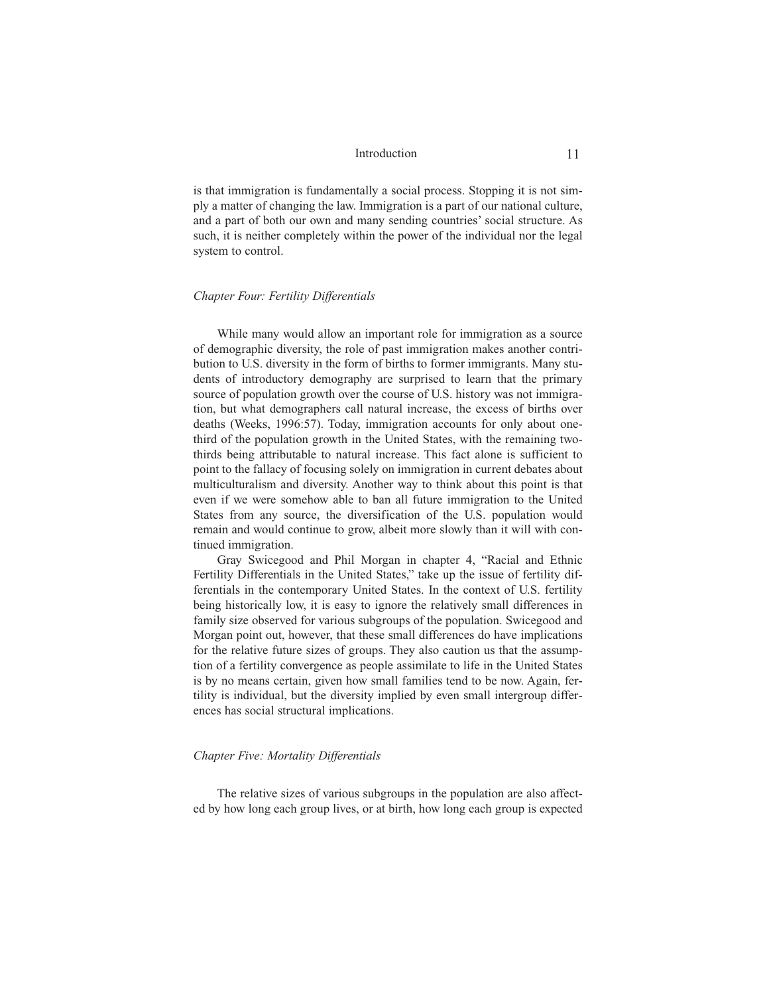is that immigration is fundamentally a social process. Stopping it is not simply a matter of changing the law. Immigration is a part of our national culture, and a part of both our own and many sending countries' social structure. As such, it is neither completely within the power of the individual nor the legal system to control.

## *Chapter Four: Fertility Differentials*

While many would allow an important role for immigration as a source of demographic diversity, the role of past immigration makes another contribution to U.S. diversity in the form of births to former immigrants. Many students of introductory demography are surprised to learn that the primary source of population growth over the course of U.S. history was not immigration, but what demographers call natural increase, the excess of births over deaths (Weeks, 1996:57). Today, immigration accounts for only about onethird of the population growth in the United States, with the remaining twothirds being attributable to natural increase. This fact alone is sufficient to point to the fallacy of focusing solely on immigration in current debates about multiculturalism and diversity. Another way to think about this point is that even if we were somehow able to ban all future immigration to the United States from any source, the diversification of the U.S. population would remain and would continue to grow, albeit more slowly than it will with continued immigration.

Gray Swicegood and Phil Morgan in chapter 4, "Racial and Ethnic Fertility Differentials in the United States," take up the issue of fertility differentials in the contemporary United States. In the context of U.S. fertility being historically low, it is easy to ignore the relatively small differences in family size observed for various subgroups of the population. Swicegood and Morgan point out, however, that these small differences do have implications for the relative future sizes of groups. They also caution us that the assumption of a fertility convergence as people assimilate to life in the United States is by no means certain, given how small families tend to be now. Again, fertility is individual, but the diversity implied by even small intergroup differences has social structural implications.

## *Chapter Five: Mortality Differentials*

The relative sizes of various subgroups in the population are also affected by how long each group lives, or at birth, how long each group is expected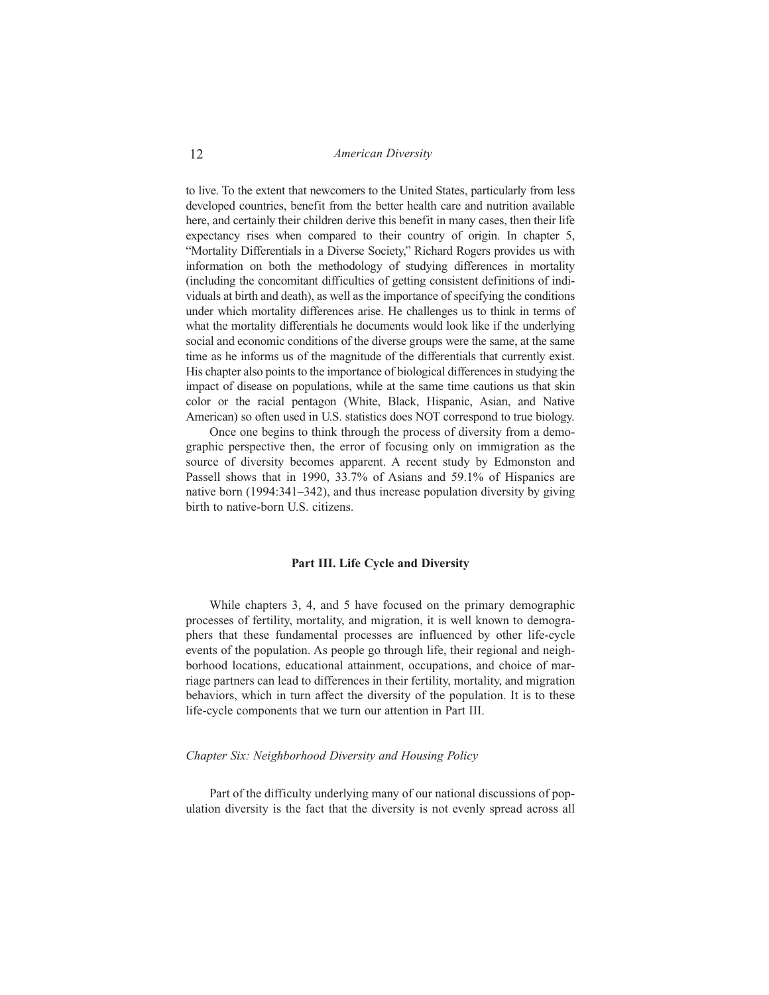to live. To the extent that newcomers to the United States, particularly from less developed countries, benefit from the better health care and nutrition available here, and certainly their children derive this benefit in many cases, then their life expectancy rises when compared to their country of origin. In chapter 5, "Mortality Differentials in a Diverse Society," Richard Rogers provides us with information on both the methodology of studying differences in mortality (including the concomitant difficulties of getting consistent definitions of individuals at birth and death), as well as the importance of specifying the conditions under which mortality differences arise. He challenges us to think in terms of what the mortality differentials he documents would look like if the underlying social and economic conditions of the diverse groups were the same, at the same time as he informs us of the magnitude of the differentials that currently exist. His chapter also points to the importance of biological differences in studying the impact of disease on populations, while at the same time cautions us that skin color or the racial pentagon (White, Black, Hispanic, Asian, and Native American) so often used in U.S. statistics does NOT correspond to true biology.

Once one begins to think through the process of diversity from a demographic perspective then, the error of focusing only on immigration as the source of diversity becomes apparent. A recent study by Edmonston and Passell shows that in 1990, 33.7% of Asians and 59.1% of Hispanics are native born (1994:341–342), and thus increase population diversity by giving birth to native-born U.S. citizens.

## **Part III. Life Cycle and Diversity**

While chapters 3, 4, and 5 have focused on the primary demographic processes of fertility, mortality, and migration, it is well known to demographers that these fundamental processes are influenced by other life-cycle events of the population. As people go through life, their regional and neighborhood locations, educational attainment, occupations, and choice of marriage partners can lead to differences in their fertility, mortality, and migration behaviors, which in turn affect the diversity of the population. It is to these life-cycle components that we turn our attention in Part III.

#### *Chapter Six: Neighborhood Diversity and Housing Policy*

Part of the difficulty underlying many of our national discussions of population diversity is the fact that the diversity is not evenly spread across all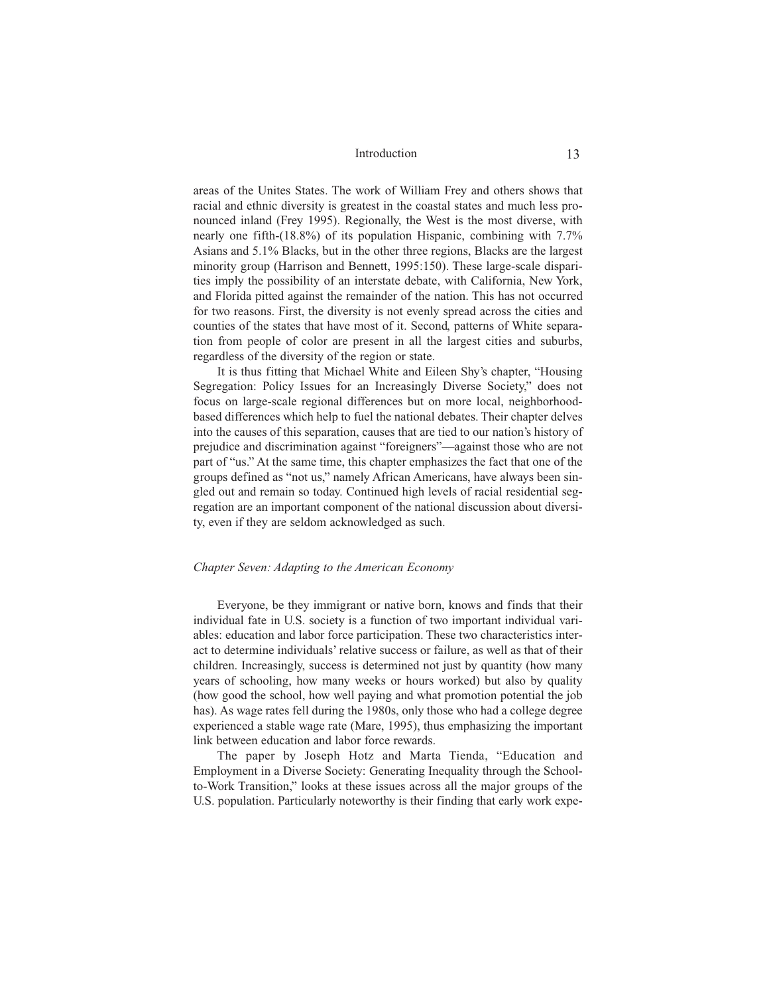areas of the Unites States. The work of William Frey and others shows that racial and ethnic diversity is greatest in the coastal states and much less pronounced inland (Frey 1995). Regionally, the West is the most diverse, with nearly one fifth-(18.8%) of its population Hispanic, combining with 7.7% Asians and 5.1% Blacks, but in the other three regions, Blacks are the largest minority group (Harrison and Bennett, 1995:150). These large-scale disparities imply the possibility of an interstate debate, with California, New York, and Florida pitted against the remainder of the nation. This has not occurred for two reasons. First, the diversity is not evenly spread across the cities and counties of the states that have most of it. Second, patterns of White separation from people of color are present in all the largest cities and suburbs, regardless of the diversity of the region or state.

It is thus fitting that Michael White and Eileen Shy's chapter, "Housing Segregation: Policy Issues for an Increasingly Diverse Society," does not focus on large-scale regional differences but on more local, neighborhoodbased differences which help to fuel the national debates. Their chapter delves into the causes of this separation, causes that are tied to our nation's history of prejudice and discrimination against "foreigners"—against those who are not part of "us." At the same time, this chapter emphasizes the fact that one of the groups defined as "not us," namely African Americans, have always been singled out and remain so today. Continued high levels of racial residential segregation are an important component of the national discussion about diversity, even if they are seldom acknowledged as such.

## *Chapter Seven: Adapting to the American Economy*

Everyone, be they immigrant or native born, knows and finds that their individual fate in U.S. society is a function of two important individual variables: education and labor force participation. These two characteristics interact to determine individuals' relative success or failure, as well as that of their children. Increasingly, success is determined not just by quantity (how many years of schooling, how many weeks or hours worked) but also by quality (how good the school, how well paying and what promotion potential the job has). As wage rates fell during the 1980s, only those who had a college degree experienced a stable wage rate (Mare, 1995), thus emphasizing the important link between education and labor force rewards.

The paper by Joseph Hotz and Marta Tienda, "Education and Employment in a Diverse Society: Generating Inequality through the Schoolto-Work Transition," looks at these issues across all the major groups of the U.S. population. Particularly noteworthy is their finding that early work expe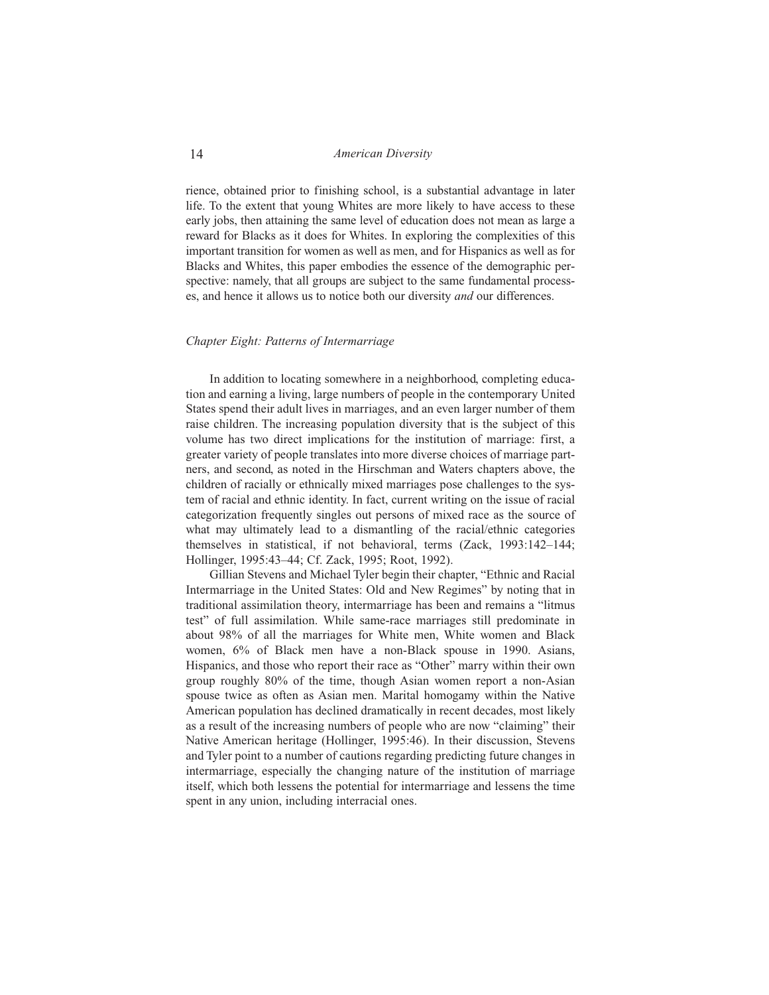rience, obtained prior to finishing school, is a substantial advantage in later life. To the extent that young Whites are more likely to have access to these early jobs, then attaining the same level of education does not mean as large a reward for Blacks as it does for Whites. In exploring the complexities of this important transition for women as well as men, and for Hispanics as well as for Blacks and Whites, this paper embodies the essence of the demographic perspective: namely, that all groups are subject to the same fundamental processes, and hence it allows us to notice both our diversity *and* our differences.

## *Chapter Eight: Patterns of Intermarriage*

In addition to locating somewhere in a neighborhood, completing education and earning a living, large numbers of people in the contemporary United States spend their adult lives in marriages, and an even larger number of them raise children. The increasing population diversity that is the subject of this volume has two direct implications for the institution of marriage: first, a greater variety of people translates into more diverse choices of marriage partners, and second, as noted in the Hirschman and Waters chapters above, the children of racially or ethnically mixed marriages pose challenges to the system of racial and ethnic identity. In fact, current writing on the issue of racial categorization frequently singles out persons of mixed race as the source of what may ultimately lead to a dismantling of the racial/ethnic categories themselves in statistical, if not behavioral, terms (Zack, 1993:142–144; Hollinger, 1995:43–44; Cf. Zack, 1995; Root, 1992).

Gillian Stevens and Michael Tyler begin their chapter, "Ethnic and Racial Intermarriage in the United States: Old and New Regimes" by noting that in traditional assimilation theory, intermarriage has been and remains a "litmus test" of full assimilation. While same-race marriages still predominate in about 98% of all the marriages for White men, White women and Black women, 6% of Black men have a non-Black spouse in 1990. Asians, Hispanics, and those who report their race as "Other" marry within their own group roughly 80% of the time, though Asian women report a non-Asian spouse twice as often as Asian men. Marital homogamy within the Native American population has declined dramatically in recent decades, most likely as a result of the increasing numbers of people who are now "claiming" their Native American heritage (Hollinger, 1995:46). In their discussion, Stevens and Tyler point to a number of cautions regarding predicting future changes in intermarriage, especially the changing nature of the institution of marriage itself, which both lessens the potential for intermarriage and lessens the time spent in any union, including interracial ones.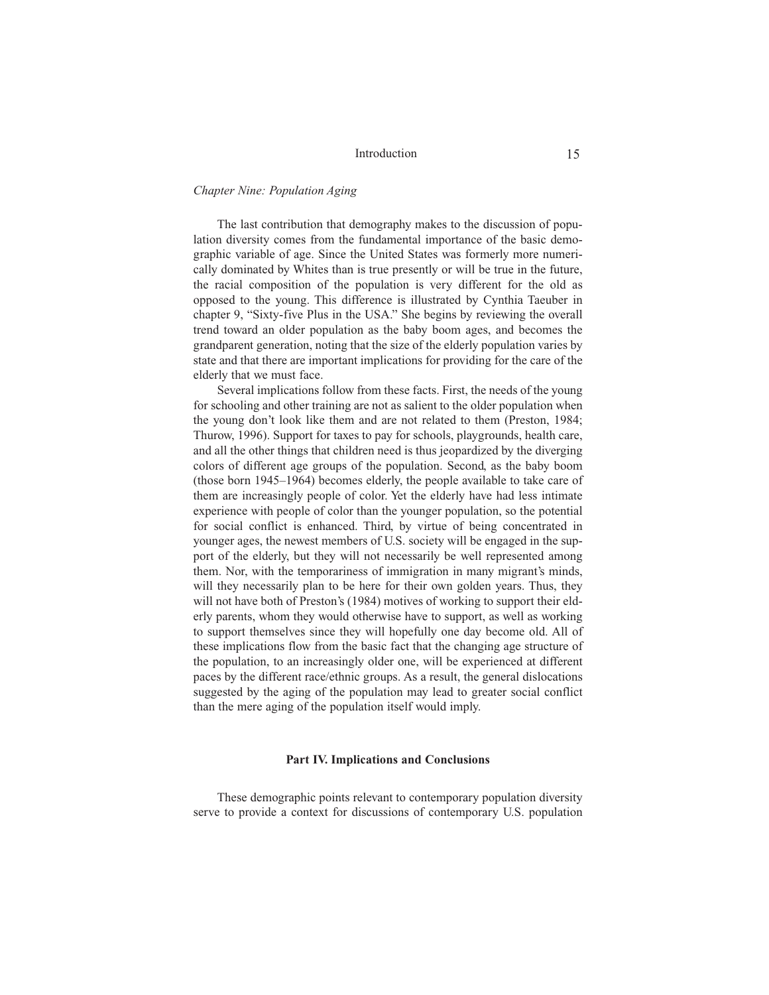## *Chapter Nine: Population Aging*

The last contribution that demography makes to the discussion of population diversity comes from the fundamental importance of the basic demographic variable of age. Since the United States was formerly more numerically dominated by Whites than is true presently or will be true in the future, the racial composition of the population is very different for the old as opposed to the young. This difference is illustrated by Cynthia Taeuber in chapter 9, "Sixty-five Plus in the USA." She begins by reviewing the overall trend toward an older population as the baby boom ages, and becomes the grandparent generation, noting that the size of the elderly population varies by state and that there are important implications for providing for the care of the elderly that we must face.

Several implications follow from these facts. First, the needs of the young for schooling and other training are not as salient to the older population when the young don't look like them and are not related to them (Preston, 1984; Thurow, 1996). Support for taxes to pay for schools, playgrounds, health care, and all the other things that children need is thus jeopardized by the diverging colors of different age groups of the population. Second, as the baby boom (those born 1945–1964) becomes elderly, the people available to take care of them are increasingly people of color. Yet the elderly have had less intimate experience with people of color than the younger population, so the potential for social conflict is enhanced. Third, by virtue of being concentrated in younger ages, the newest members of U.S. society will be engaged in the support of the elderly, but they will not necessarily be well represented among them. Nor, with the temporariness of immigration in many migrant's minds, will they necessarily plan to be here for their own golden years. Thus, they will not have both of Preston's (1984) motives of working to support their elderly parents, whom they would otherwise have to support, as well as working to support themselves since they will hopefully one day become old. All of these implications flow from the basic fact that the changing age structure of the population, to an increasingly older one, will be experienced at different paces by the different race/ethnic groups. As a result, the general dislocations suggested by the aging of the population may lead to greater social conflict than the mere aging of the population itself would imply.

## **Part IV. Implications and Conclusions**

These demographic points relevant to contemporary population diversity serve to provide a context for discussions of contemporary U.S. population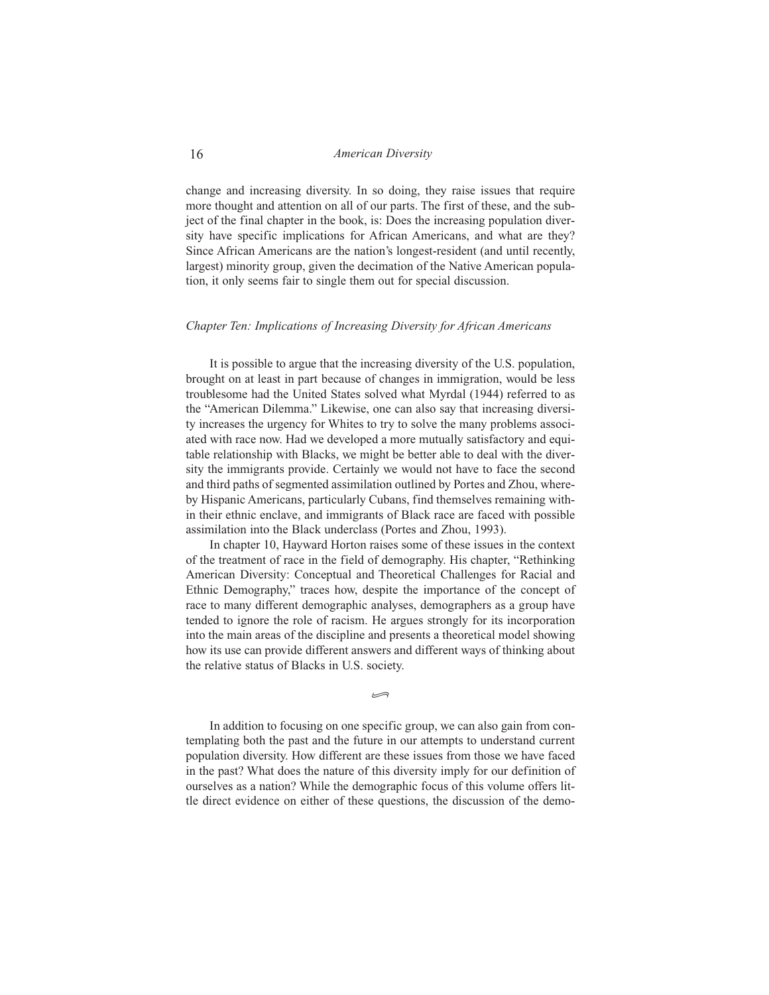change and increasing diversity. In so doing, they raise issues that require more thought and attention on all of our parts. The first of these, and the subject of the final chapter in the book, is: Does the increasing population diversity have specific implications for African Americans, and what are they? Since African Americans are the nation's longest-resident (and until recently, largest) minority group, given the decimation of the Native American population, it only seems fair to single them out for special discussion.

## *Chapter Ten: Implications of Increasing Diversity for African Americans*

It is possible to argue that the increasing diversity of the U.S. population, brought on at least in part because of changes in immigration, would be less troublesome had the United States solved what Myrdal (1944) referred to as the "American Dilemma." Likewise, one can also say that increasing diversity increases the urgency for Whites to try to solve the many problems associated with race now. Had we developed a more mutually satisfactory and equitable relationship with Blacks, we might be better able to deal with the diversity the immigrants provide. Certainly we would not have to face the second and third paths of segmented assimilation outlined by Portes and Zhou, whereby Hispanic Americans, particularly Cubans, find themselves remaining within their ethnic enclave, and immigrants of Black race are faced with possible assimilation into the Black underclass (Portes and Zhou, 1993).

In chapter 10, Hayward Horton raises some of these issues in the context of the treatment of race in the field of demography. His chapter, "Rethinking American Diversity: Conceptual and Theoretical Challenges for Racial and Ethnic Demography," traces how, despite the importance of the concept of race to many different demographic analyses, demographers as a group have tended to ignore the role of racism. He argues strongly for its incorporation into the main areas of the discipline and presents a theoretical model showing how its use can provide different answers and different ways of thinking about the relative status of Blacks in U.S. society.

 $\curvearrowleft$ 

In addition to focusing on one specific group, we can also gain from contemplating both the past and the future in our attempts to understand current population diversity. How different are these issues from those we have faced in the past? What does the nature of this diversity imply for our definition of ourselves as a nation? While the demographic focus of this volume offers little direct evidence on either of these questions, the discussion of the demo-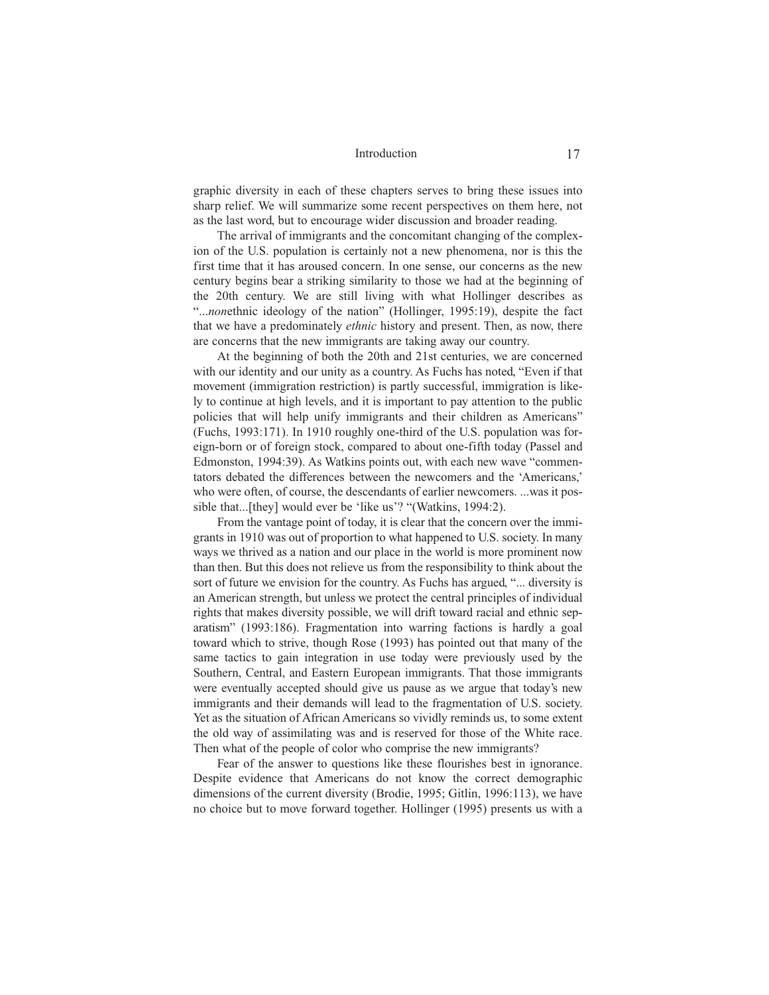graphic diversity in each of these chapters serves to bring these issues into sharp relief. We will summarize some recent perspectives on them here, not as the last word, but to encourage wider discussion and broader reading.

The arrival of immigrants and the concomitant changing of the complexion of the U.S. population is certainly not a new phenomena, nor is this the first time that it has aroused concern. In one sense, our concerns as the new century begins bear a striking similarity to those we had at the beginning of the 20th century. We are still living with what Hollinger describes as "...*non*ethnic ideology of the nation" (Hollinger, 1995:19), despite the fact that we have a predominately *ethnic* history and present. Then, as now, there are concerns that the new immigrants are taking away our country.

At the beginning of both the 20th and 21st centuries, we are concerned with our identity and our unity as a country. As Fuchs has noted, "Even if that movement (immigration restriction) is partly successful, immigration is likely to continue at high levels, and it is important to pay attention to the public policies that will help unify immigrants and their children as Americans" (Fuchs, 1993:171). In 1910 roughly one-third of the U.S. population was foreign-born or of foreign stock, compared to about one-fifth today (Passel and Edmonston, 1994:39). As Watkins points out, with each new wave "commentators debated the differences between the newcomers and the 'Americans,' who were often, of course, the descendants of earlier newcomers. ...was it possible that...[they] would ever be 'like us'? "(Watkins, 1994:2).

From the vantage point of today, it is clear that the concern over the immigrants in 1910 was out of proportion to what happened to U.S. society. In many ways we thrived as a nation and our place in the world is more prominent now than then. But this does not relieve us from the responsibility to think about the sort of future we envision for the country. As Fuchs has argued, "... diversity is an American strength, but unless we protect the central principles of individual rights that makes diversity possible, we will drift toward racial and ethnic separatism" (1993:186). Fragmentation into warring factions is hardly a goal toward which to strive, though Rose (1993) has pointed out that many of the same tactics to gain integration in use today were previously used by the Southern, Central, and Eastern European immigrants. That those immigrants were eventually accepted should give us pause as we argue that today's new immigrants and their demands will lead to the fragmentation of U.S. society. Yet as the situation of African Americans so vividly reminds us, to some extent the old way of assimilating was and is reserved for those of the White race. Then what of the people of color who comprise the new immigrants?

Fear of the answer to questions like these flourishes best in ignorance. Despite evidence that Americans do not know the correct demographic dimensions of the current diversity (Brodie, 1995; Gitlin, 1996:113), we have no choice but to move forward together. Hollinger (1995) presents us with a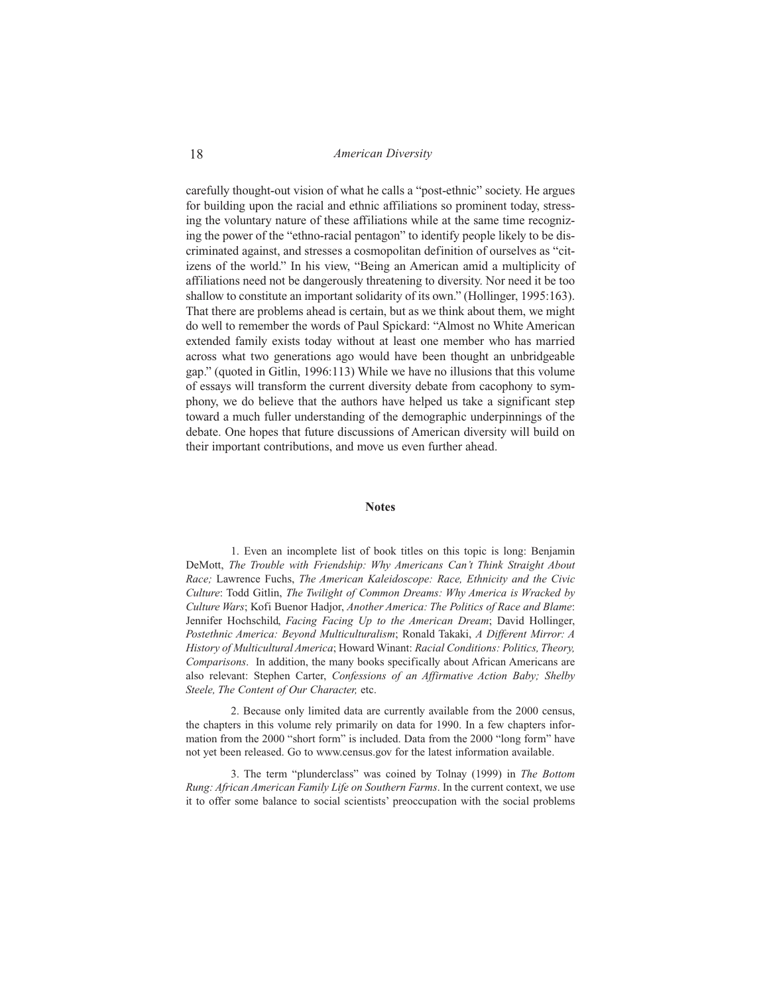carefully thought-out vision of what he calls a "post-ethnic" society. He argues for building upon the racial and ethnic affiliations so prominent today, stressing the voluntary nature of these affiliations while at the same time recognizing the power of the "ethno-racial pentagon" to identify people likely to be discriminated against, and stresses a cosmopolitan definition of ourselves as "citizens of the world." In his view, "Being an American amid a multiplicity of affiliations need not be dangerously threatening to diversity. Nor need it be too shallow to constitute an important solidarity of its own." (Hollinger, 1995:163). That there are problems ahead is certain, but as we think about them, we might do well to remember the words of Paul Spickard: "Almost no White American extended family exists today without at least one member who has married across what two generations ago would have been thought an unbridgeable gap." (quoted in Gitlin, 1996:113) While we have no illusions that this volume of essays will transform the current diversity debate from cacophony to symphony, we do believe that the authors have helped us take a significant step toward a much fuller understanding of the demographic underpinnings of the debate. One hopes that future discussions of American diversity will build on their important contributions, and move us even further ahead.

## **Notes**

1. Even an incomplete list of book titles on this topic is long: Benjamin DeMott, *The Trouble with Friendship: Why Americans Can't Think Straight About Race;* Lawrence Fuchs, *The American Kaleidoscope: Race, Ethnicity and the Civic Culture*: Todd Gitlin, *The Twilight of Common Dreams: Why America is Wracked by Culture Wars*; Kofi Buenor Hadjor, *Another America: The Politics of Race and Blame*: Jennifer Hochschild, *Facing Facing Up to the American Dream*; David Hollinger, *Postethnic America: Beyond Multiculturalism*; Ronald Takaki, *A Different Mirror: A History of Multicultural America*; Howard Winant: *Racial Conditions: Politics, Theory, Comparisons*. In addition, the many books specifically about African Americans are also relevant: Stephen Carter, *Confessions of an Affirmative Action Baby; Shelby Steele, The Content of Our Character,* etc.

2. Because only limited data are currently available from the 2000 census, the chapters in this volume rely primarily on data for 1990. In a few chapters information from the 2000 "short form" is included. Data from the 2000 "long form" have not yet been released. Go to www.census.gov for the latest information available.

3. The term "plunderclass" was coined by Tolnay (1999) in *The Bottom Rung: African American Family Life on Southern Farms*. In the current context, we use it to offer some balance to social scientists' preoccupation with the social problems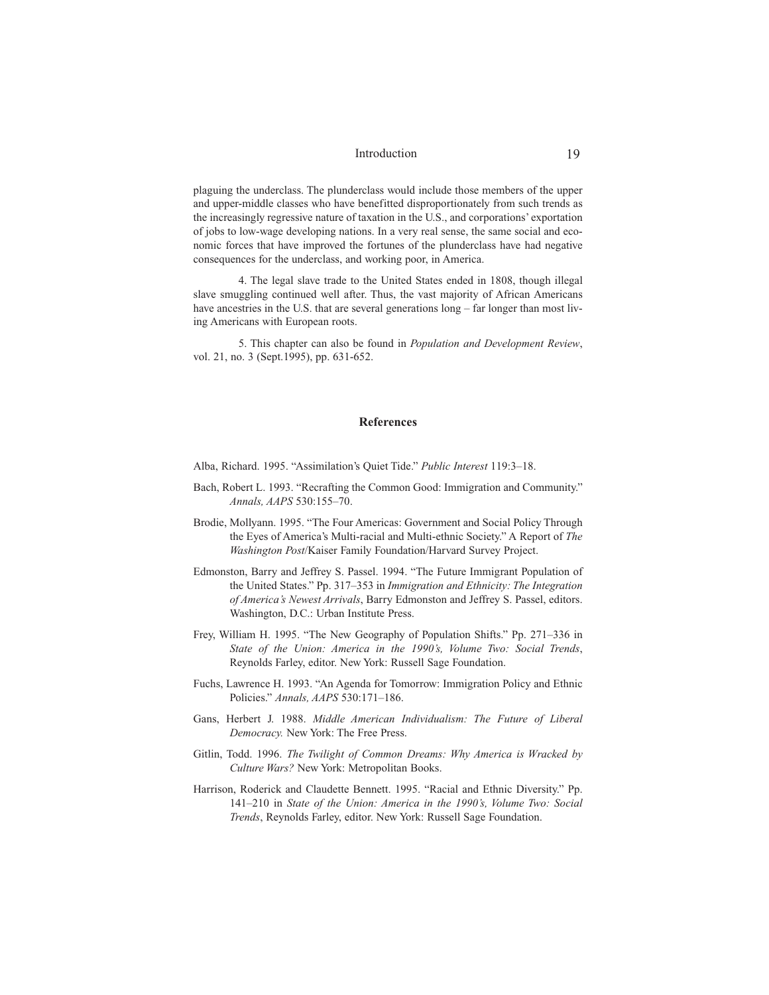plaguing the underclass. The plunderclass would include those members of the upper and upper-middle classes who have benefitted disproportionately from such trends as the increasingly regressive nature of taxation in the U.S., and corporations' exportation of jobs to low-wage developing nations. In a very real sense, the same social and economic forces that have improved the fortunes of the plunderclass have had negative consequences for the underclass, and working poor, in America.

4. The legal slave trade to the United States ended in 1808, though illegal slave smuggling continued well after. Thus, the vast majority of African Americans have ancestries in the U.S. that are several generations long – far longer than most living Americans with European roots.

5. This chapter can also be found in *Population and Development Review*, vol. 21, no. 3 (Sept.1995), pp. 631-652.

#### **References**

Alba, Richard. 1995. "Assimilation's Quiet Tide." *Public Interest* 119:3–18.

- Bach, Robert L. 1993. "Recrafting the Common Good: Immigration and Community." *Annals, AAPS* 530:155–70.
- Brodie, Mollyann. 1995. "The Four Americas: Government and Social Policy Through the Eyes of America's Multi-racial and Multi-ethnic Society." A Report of *The Washington Post*/Kaiser Family Foundation/Harvard Survey Project.
- Edmonston, Barry and Jeffrey S. Passel. 1994. "The Future Immigrant Population of the United States." Pp. 317–353 in *Immigration and Ethnicity: The Integration of America's Newest Arrivals*, Barry Edmonston and Jeffrey S. Passel, editors. Washington, D.C.: Urban Institute Press.
- Frey, William H. 1995. "The New Geography of Population Shifts." Pp. 271–336 in *State of the Union: America in the 1990's, Volume Two: Social Trends*, Reynolds Farley, editor. New York: Russell Sage Foundation.
- Fuchs, Lawrence H. 1993. "An Agenda for Tomorrow: Immigration Policy and Ethnic Policies." *Annals, AAPS* 530:171–186.
- Gans, Herbert J. 1988. *Middle American Individualism: The Future of Liberal Democracy.* New York: The Free Press.
- Gitlin, Todd. 1996. *The Twilight of Common Dreams: Why America is Wracked by Culture Wars?* New York: Metropolitan Books.
- Harrison, Roderick and Claudette Bennett. 1995. "Racial and Ethnic Diversity." Pp. 141–210 in *State of the Union: America in the 1990's, Volume Two: Social Trends*, Reynolds Farley, editor. New York: Russell Sage Foundation.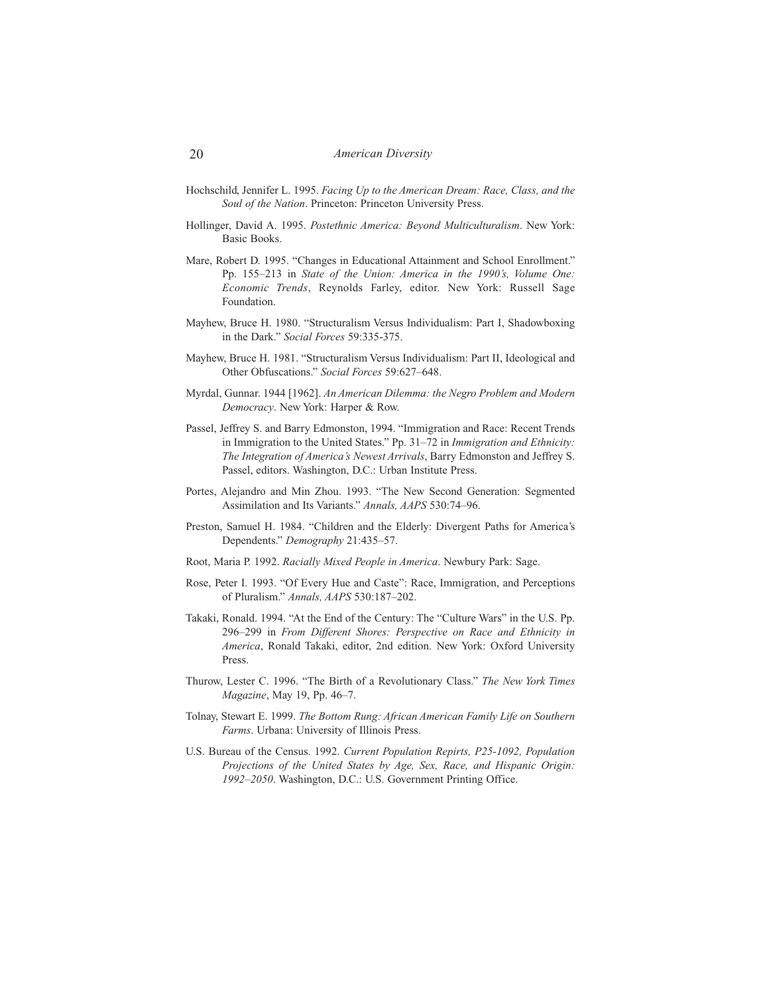- Hochschild, Jennifer L. 1995. *Facing Up to the American Dream: Race, Class, and the Soul of the Nation*. Princeton: Princeton University Press.
- Hollinger, David A. 1995. *Postethnic America: Beyond Multiculturalism*. New York: Basic Books.
- Mare, Robert D. 1995. "Changes in Educational Attainment and School Enrollment." Pp. 155–213 in *State of the Union: America in the 1990's, Volume One: Economic Trends*, Reynolds Farley, editor. New York: Russell Sage Foundation.
- Mayhew, Bruce H. 1980. "Structuralism Versus Individualism: Part I, Shadowboxing in the Dark." *Social Forces* 59:335-375.
- Mayhew, Bruce H. 1981. "Structuralism Versus Individualism: Part II, Ideological and Other Obfuscations." *Social Forces* 59:627–648.
- Myrdal, Gunnar. 1944 [1962]. *An American Dilemma: the Negro Problem and Modern Democracy*. New York: Harper & Row.
- Passel, Jeffrey S. and Barry Edmonston, 1994. "Immigration and Race: Recent Trends in Immigration to the United States." Pp. 31–72 in *Immigration and Ethnicity: The Integration of America's Newest Arrivals*, Barry Edmonston and Jeffrey S. Passel, editors. Washington, D.C.: Urban Institute Press.
- Portes, Alejandro and Min Zhou. 1993. "The New Second Generation: Segmented Assimilation and Its Variants." *Annals, AAPS* 530:74–96.
- Preston, Samuel H. 1984. "Children and the Elderly: Divergent Paths for America's Dependents." *Demography* 21:435–57.
- Root, Maria P. 1992. *Racially Mixed People in America*. Newbury Park: Sage.
- Rose, Peter I. 1993. "Of Every Hue and Caste": Race, Immigration, and Perceptions of Pluralism." *Annals, AAPS* 530:187–202.
- Takaki, Ronald. 1994. "At the End of the Century: The "Culture Wars" in the U.S. Pp. 296–299 in *From Different Shores: Perspective on Race and Ethnicity in America*, Ronald Takaki, editor, 2nd edition. New York: Oxford University Press.
- Thurow, Lester C. 1996. "The Birth of a Revolutionary Class." *The New York Times Magazine*, May 19, Pp. 46–7.
- Tolnay, Stewart E. 1999. *The Bottom Rung: African American Family Life on Southern Farms*. Urbana: University of Illinois Press.
- U.S. Bureau of the Census. 1992. *Current Population Repirts, P25-1092, Population Projections of the United States by Age, Sex, Race, and Hispanic Origin: 1992–2050*. Washington, D.C.: U.S. Government Printing Office.